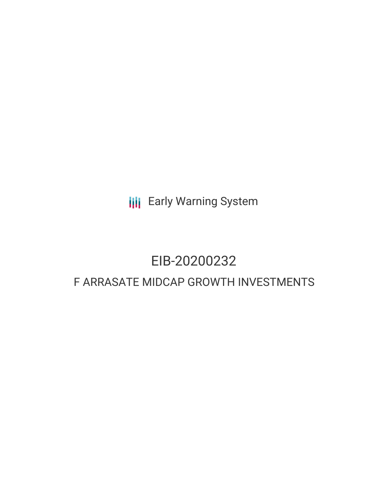**III** Early Warning System

# EIB-20200232

# F ARRASATE MIDCAP GROWTH INVESTMENTS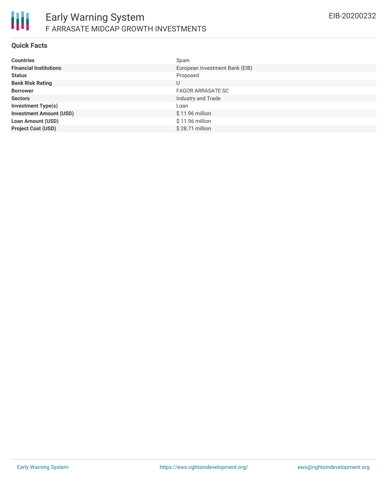

### **Quick Facts**

| <b>Countries</b>               | Spain                          |
|--------------------------------|--------------------------------|
| <b>Financial Institutions</b>  | European Investment Bank (EIB) |
| <b>Status</b>                  | Proposed                       |
| <b>Bank Risk Rating</b>        | U                              |
| <b>Borrower</b>                | <b>FAGOR ARRASATE SC</b>       |
| <b>Sectors</b>                 | Industry and Trade             |
| <b>Investment Type(s)</b>      | Loan                           |
| <b>Investment Amount (USD)</b> | $$11.96$ million               |
| <b>Loan Amount (USD)</b>       | \$11.96 million                |
| <b>Project Cost (USD)</b>      | \$28.71 million                |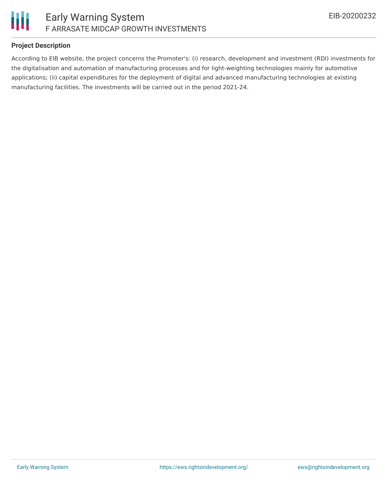

### **Project Description**

According to EIB website, the project concerns the Promoter's: (i) research, development and investment (RDI) investments for the digitalisation and automation of manufacturing processes and for light-weighting technologies mainly for automotive applications; (ii) capital expenditures for the deployment of digital and advanced manufacturing technologies at existing manufacturing facilities. The investments will be carried out in the period 2021-24.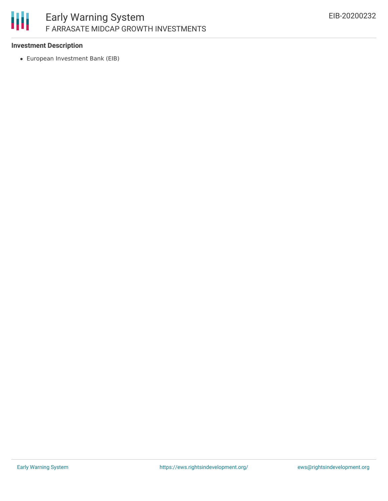# 冊

## **Investment Description**

European Investment Bank (EIB)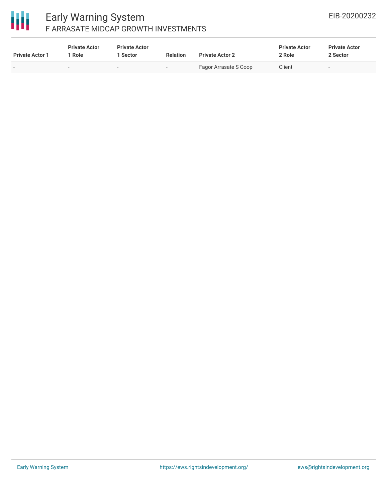# 冊

# Early Warning System F ARRASATE MIDCAP GROWTH INVESTMENTS

| <b>Private Actor 1</b> | <b>Private Actor</b><br>1 Role | <b>Private Actor</b><br>l Sector | <b>Relation</b> | <b>Private Actor 2</b> | <b>Private Actor</b><br>2 Role | <b>Private Actor</b><br>2 Sector |
|------------------------|--------------------------------|----------------------------------|-----------------|------------------------|--------------------------------|----------------------------------|
|                        |                                | $\overline{\phantom{a}}$         |                 | Fagor Arrasate S Coop  | Client                         | $\overline{\phantom{a}}$         |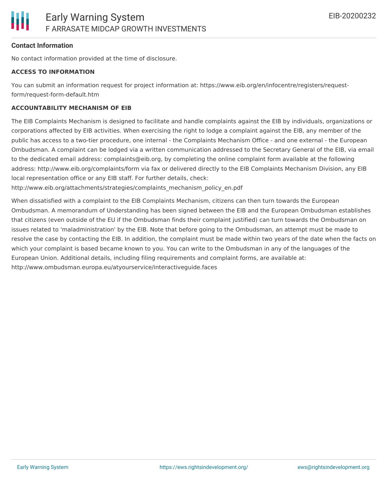### **Contact Information**

No contact information provided at the time of disclosure.

### **ACCESS TO INFORMATION**

You can submit an information request for project information at: https://www.eib.org/en/infocentre/registers/requestform/request-form-default.htm

### **ACCOUNTABILITY MECHANISM OF EIB**

The EIB Complaints Mechanism is designed to facilitate and handle complaints against the EIB by individuals, organizations or corporations affected by EIB activities. When exercising the right to lodge a complaint against the EIB, any member of the public has access to a two-tier procedure, one internal - the Complaints Mechanism Office - and one external - the European Ombudsman. A complaint can be lodged via a written communication addressed to the Secretary General of the EIB, via email to the dedicated email address: complaints@eib.org, by completing the online complaint form available at the following address: http://www.eib.org/complaints/form via fax or delivered directly to the EIB Complaints Mechanism Division, any EIB local representation office or any EIB staff. For further details, check:

http://www.eib.org/attachments/strategies/complaints\_mechanism\_policy\_en.pdf

When dissatisfied with a complaint to the EIB Complaints Mechanism, citizens can then turn towards the European Ombudsman. A memorandum of Understanding has been signed between the EIB and the European Ombudsman establishes that citizens (even outside of the EU if the Ombudsman finds their complaint justified) can turn towards the Ombudsman on issues related to 'maladministration' by the EIB. Note that before going to the Ombudsman, an attempt must be made to resolve the case by contacting the EIB. In addition, the complaint must be made within two years of the date when the facts on which your complaint is based became known to you. You can write to the Ombudsman in any of the languages of the European Union. Additional details, including filing requirements and complaint forms, are available at: http://www.ombudsman.europa.eu/atyourservice/interactiveguide.faces